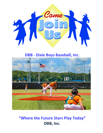

# **DBB - Dixie Boys Baseball, Inc.**



**"Where the Future Stars Play Today" DBB, Inc.**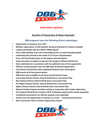

# **www.dixie.org/boys**

## **Benefits of Playing Boys & Majors Baseball!**

## **DBB programs have the following distinct advantages:**

- **Organization in existence since 1957**
- Member organization of USA Baseball, the governing body for amateur baseball
- **Leagues participate with the official "DBB program"**
- **Clear understanding of our role of providing service to youth through baseball**
- **Leadership fully attuned to the needs of 13-19 year old participant**
- **Focus and full attention given to the leagues and participants**
- **Autonomy given to leagues to operate local program without interference**
- **Rules administered in accordance with the published rules of the organization**
- **Effective communications from the DBB State & National organization**
- **Tournament host bid fees fairly negotiated between Host and program**
- **DBB present at all tournament games**
- **DBB online store available to purchase items/franchise teams**
- **Junior Boys Division District, State & World Series Tournament Play**
- **Boys Division District, State & World Series Tournament Play**
- **Pre-Majors Division District, State & World Series Tournament Play**
- **Majors Division District, State & World Series Tournament Play**
- **National Umpire Program provides training in conjunction with umpire registration**
- **15U program World Series started in 2016. Participant opportunities always expanding**
- **Invitational tournaments are offered, program to be expanded.**
- Schools have the opportunity to franchise as a team "school-based franchise"
- **New Tournament Team Franchise Opportunity created**

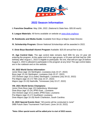

# **2022 Season Information**

**I. Franchise Deadline:** May 15th, 2022. (National & State fees- \$35.00 each)

**II. League Materials:** All forms available on website at [www.dixie.org/boys](http://www.dixie.org/boys)

**III. Rulebooks and Media Guide:** Available from Boys & Majors State Director.

**IV. Scholarship Program:** Eleven National Scholarships will be awarded in 2022.

**V. Dixie Boys Baseball Alumni Program** Available: \$25.00 annual fee to join.

**VI. Age Control Date-** The age control date remains April 30th for any 13 year old entering the program. At the upper end of our age groups, a 19-year-old that had his 19th birthday after August 1, 2022 is eligible to participate. No one, that will turn age 20 before August 1, 2022 is allowed to participate in the program at any time! The age control dates are in the rulebook and on the website.

#### **VII. 2022 World Series Information-**

Junior Boys (age 13) Sterlington, Louisiana (July 22-27, 2022) Boys (age 13-14) Sterlington, Louisiana (July 22-27, 2022) 15U Division (age 15 & under) Sterlington, Louisiana (July 20-22, 2022) Pre-Majors (age 15-17) TBA (July 22-27, 2022) Majors (age 15-19) Nashville, Tennessee (July 22-27, 2022)

#### **VIII. 2021 World Series Champions-**

Junior Dixie Boys (age 13) Hattiesburg, Mississippi Dixie Boys (age 13-14) JPRD East , Louisiana 15U Division (age 15 & under) JPRD East, Louisiana Pre-Majors (age 15-17) Southland, Louisiana Dixie Majors (age 15-19) North Charleston, South Carolina

**IX. 2022 Special Events Host:** \*All events will be conducted in June\* DBB Future Stars Tournament Trail Event: (June 16-19, 2022)

**\*Note: Other special events will be added prior to start of 2022 season.**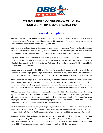

# **WE HOPE THAT YOU WILL ALLOW US TO TELL "OUR STORY - DIXIE BOYS BASEBALL INC"**

# [www.dixie.org/boys](http://www.dixie.org/boys)

Dixie Boys Baseball, Inc. was founded in 1957 at Alexandria, Louisiana. The mission of the program is to provide a recreational outlet for as many participants (age 13-19) as possible. The program currently operates in eleven southeastern states and attracts over 20,000 players.

DBB, Inc. is governed by a Board of Directors and is comprised of Executive Officers as well as elected State Officials. Board members (currently twenty-four) are responsible for determining program policies and rules. The Commissioner/CEO is responsible for managing the day to day affairs of the organization.

Leagues must comply with a basic set of rules and regulations as found in the rule book. The rules that appear in the official rulebook are specific rules adopted by the Board of Directors. All other rules are found in the official playing rules of the National High School Federation. The DBB Commissioner/CEO is responsible for interpretation and rule enforcement.

League play is emphasized in the DBB organization. Franchises/local leagues are given a great deal of autonomy in determining a specific program that will meet the community/school needs. The administrative functions that are necessary to successfully operate a local league are supported by a District & State Director.

While emphasis is on league play there is; however, district tournaments, state tournaments and a World Series event for leagues wishing to participate after the close of the regular season. Dixie Boys Baseball, Inc. has a rich tradition of offering quality events that capture the true essence of competitive play. The organization takes great pride in offering "premier events", providing a memorable experience for everyone.

DBB each year also offers additional opportunities for teams. The DBB Future Stars Tournament Trail brings together top Dixie baseball participants. The eleven southern states that comprise the Dixie region (Alabama, Arkansas, Florida, Georgia, Louisiana, Mississippi, North Carolina, South Carolina, Tennessee, Texas and Virginia) all have the opportunity to expand their programs to include invitational tournaments. A wood bat invitational tournament is held each June for the Pre-Majors age group.

COVID protocols were enacted in 2020, allowing the organization to have a short season culminating in World Series play in 2020. In 2021, a 65<sup>th</sup> Anniversary World Series was held for five divisions . Sterlington, Louisiana and ULM – University Parks hosted the events. State tournament sites for 2022 are yet to be determined!

On July 22<sup>nd</sup>, 2022 the four traditional divisions will start World Series play. Sterlington will host the 15U World Series being held on July 20th as well as the Junior Boys & Boys Baseball World Series events. The Pre-Majors is yet to be announced as the program looks forward to a trip to Nashville, Tennessee for the Majors World Series. DBB offers numerous opportunities for sponsors to partner with the organization.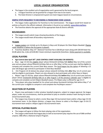# **LOCAL LEAGUE ORGANIZATION**

- The league is the smallest unit of organization and is governed by the local program.
	- a. A league franchise can be granted for a league from two to ten teams.
	- b. The State Director is empowered to grant one team leagues based on circumstances.

#### **SIMPLE STEPS REQUIRED TO BECOMING A FRANCHISED DIXIE LEAGUE.**

• The league makes application for franchise to the Commissioner. The league would form based on policies as found in the official rulebook. Information is found on our website[: www.dixie.org/boys.](http://www.dixie.org/boys)

• The franchise obtains the approval of the appropriate State & District officials.

## **BOUNDARIES**

- The League would submit maps showing boundaries of the league.
- The League would meet all boundary requirements.

#### **TEAMS**

• League rosters can include up to 16 players in Boys and 18 players for Dixie Majors Baseball. Playing roster deadline is before the first game is played!.

• Franchise deadline: May 15<sup>th</sup>. National Franchise Fee is \$30.00 per team along with \$30.00 State Fee. \$5.00 admin fee. *A fee of \$130.00/ 2 team minimum required for franchises.* Online payment is available.

#### **LEGAL PLAYERS**

#### • **Age Control date April 30th. (AGE CONTROL CHART AVAILABLE ON WEBSITE)**

a. Boys - (age 13-14) Any eligible player whose thirteenth birthday falls **before** May 1st of the current year and any player whose fifteenth birthday falls on or after May 1 of the current year shall be eligible to compete and complete the current Dixie Boys season. The local league has the option of allowing a 12 year old (league age control) to participate in Dixie Boys Baseball.

b. 15U Program (15 & below) Any player whose sixteenth birthday falls **after** May 1st of current year shall be eligible to participate- Players are also allowed to dual participate with either Boys or Majors

c. Majors- (age 15-19) Any player whose fifteenth birthday falls **before** May 1st of current year and any player whose nineteenth birthday falls on or after August 1 of the previous calendar year is eligible to compete and complete current Majors Baseball season. Pre-Majors play is offered for age 15-17.

d. \*Any player who plays baseball for his school and whose fourteenth birthday falls before May  $1<sup>st</sup>$  of the current year is eligible to compete in and complete the Pre/Majors season.\*

## **SELECTION OF PLAYERS**

• Players may participate in other amateur baseball programs, subject to League approval. No league player; under any circumstances, shall be permitted to play on another amateur team during his teams' actual tournament play.

• The League may choose to select a Junior Boys (age 13) tournament team and/or a Boys (age 13-14) tournament team. In the Majors division; a league may choose to select a Pre-Majors (age 15-16-17) tournament team and/or a Majors (age15-19) tournament team.

#### **OFFICIAL PLAYING RULES**

- The League will agree to follow the basic playing rules of the organization.
- The League understands that league play as well as tournament play requires the use of DBB certified umpires. DBB offers a National Umpire Program.